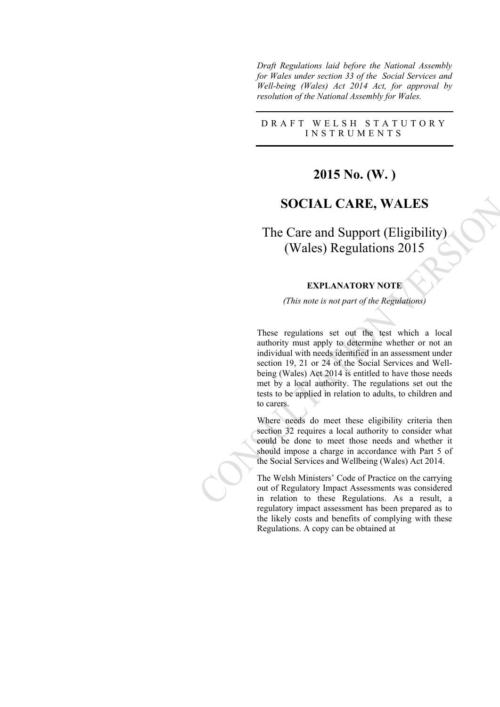*Draft Regulations laid before the National Assembly for Wales under section 33 of the Social Services and Well-being (Wales) Act 2014 Act, for approval by resolution of the National Assembly for Wales.*

## D R A F T W E L S H S T A T U T O R Y I N S T R U M E N T S

# **2015 No. (W. )**

## **SOCIAL CARE, WALES**

The Care and Support (Eligibility) (Wales) Regulations 2015

### **EXPLANATORY NOTE**

*(This note is not part of the Regulations)*

These regulations set out the test which a local authority must apply to determine whether or not an individual with needs identified in an assessment under section 19, 21 or 24 of the Social Services and Wellbeing (Wales) Act 2014 is entitled to have those needs met by a local authority. The regulations set out the tests to be applied in relation to adults, to children and to carers.

Where needs do meet these eligibility criteria then section 32 requires a local authority to consider what could be done to meet those needs and whether it should impose a charge in accordance with Part 5 of the Social Services and Wellbeing (Wales) Act 2014.

The Welsh Ministers' Code of Practice on the carrying out of Regulatory Impact Assessments was considered in relation to these Regulations. As a result, a regulatory impact assessment has been prepared as to the likely costs and benefits of complying with these Regulations. A copy can be obtained at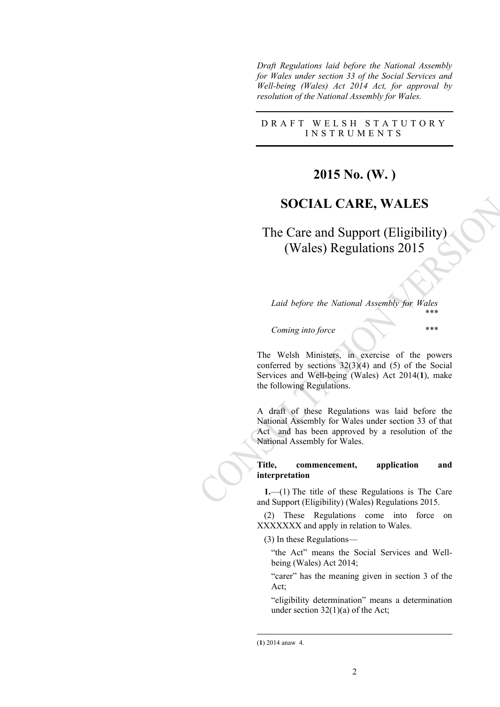*Draft Regulations laid before the National Assembly for Wales under section 33 of the Social Services and Well-being (Wales) Act 2014 Act, for approval by resolution of the National Assembly for Wales.*

## D R A F T W E L S H S T A T U T O R Y I N S T R U M E N T S

# **2015 No. (W. )**

# **SOCIAL CARE, WALES**

The Care and Support (Eligibility) (Wales) Regulations 2015

*Laid before the National Assembly for Wales \*\*\**

*Coming into force \*\*\**

The Welsh Ministers, in exercise of the powers conferred by sections 32(3)(4) and (5) of the Social Services and Well-being (Wales) Act 2014(**1**), make the following Regulations.

A draft of these Regulations was laid before the National Assembly for Wales under section 33 of that Act and has been approved by a resolution of the National Assembly for Wales.

### **Title, commencement, application and interpretation**

**1.**—(1) The title of these Regulations is The Care and Support (Eligibility) (Wales) Regulations 2015.

(2) These Regulations come into force on XXXXXXX and apply in relation to Wales.

(3) In these Regulations—

"the Act" means the Social Services and Wellbeing (Wales) Act 2014;

"carer" has the meaning given in section 3 of the Act;

"eligibility determination" means a determination under section  $32(1)(a)$  of the Act;

<sup>(</sup>**1**) 2014 anaw 4.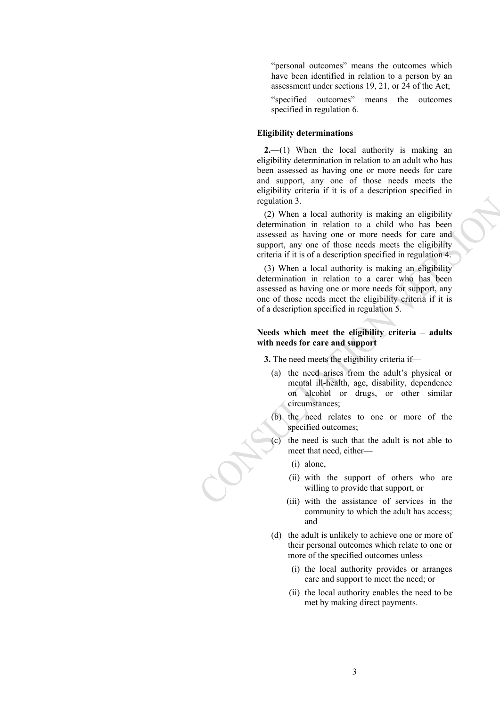"personal outcomes" means the outcomes which have been identified in relation to a person by an assessment under sections 19, 21, or 24 of the Act;

"specified outcomes" means the outcomes specified in regulation 6.

### **Eligibility determinations**

**2.**—(1) When the local authority is making an eligibility determination in relation to an adult who has been assessed as having one or more needs for care and support, any one of those needs meets the eligibility criteria if it is of a description specified in regulation 3.

(2) When a local authority is making an eligibility determination in relation to a child who has been assessed as having one or more needs for care and support, any one of those needs meets the eligibility criteria if it is of a description specified in regulation 4.

(3) When a local authority is making an eligibility determination in relation to a carer who has been assessed as having one or more needs for support, any one of those needs meet the eligibility criteria if it is of a description specified in regulation 5.

### **Needs which meet the eligibility criteria – adults with needs for care and support**

**3.** The need meets the eligibility criteria if—

- (a) the need arises from the adult's physical or mental ill-health, age, disability, dependence on alcohol or drugs, or other similar circumstances;
- (b) the need relates to one or more of the specified outcomes;
- the need is such that the adult is not able to meet that need, either—
	- (i) alone,
	- (ii) with the support of others who are willing to provide that support, or
	- (iii) with the assistance of services in the community to which the adult has access; and
- (d) the adult is unlikely to achieve one or more of their personal outcomes which relate to one or more of the specified outcomes unless—
	- (i) the local authority provides or arranges care and support to meet the need; or
	- (ii) the local authority enables the need to be met by making direct payments.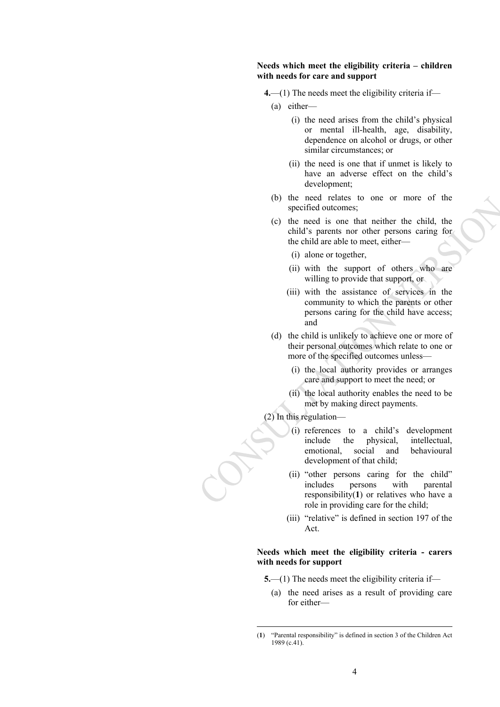#### **Needs which meet the eligibility criteria – children with needs for care and support**

**4.**—(1) The needs meet the eligibility criteria if—

- (a) either—
	- (i) the need arises from the child's physical or mental ill-health, age, disability, dependence on alcohol or drugs, or other similar circumstances; or
	- (ii) the need is one that if unmet is likely to have an adverse effect on the child's development;
- (b) the need relates to one or more of the specified outcomes;
- (c) the need is one that neither the child, the child's parents nor other persons caring for the child are able to meet, either—
	- (i) alone or together,
	- (ii) with the support of others who are willing to provide that support, or
	- (iii) with the assistance of services in the community to which the parents or other persons caring for the child have access; and
- (d) the child is unlikely to achieve one or more of their personal outcomes which relate to one or more of the specified outcomes unless—
	- (i) the local authority provides or arranges care and support to meet the need; or
	- (ii) the local authority enables the need to be met by making direct payments.

(2) In this regulation—

- (i) references to a child's development include the physical, intellectual, emotional, social and behavioural development of that child;
- (ii) "other persons caring for the child" includes persons with parental responsibility(**1**) or relatives who have a role in providing care for the child;
- (iii) "relative" is defined in section 197 of the Act.

#### **Needs which meet the eligibility criteria - carers with needs for support**

- **5.**—(1) The needs meet the eligibility criteria if—
	- (a) the need arises as a result of providing care for either—

<sup>(</sup>**1**) "Parental responsibility" is defined in section 3 of the Children Act 1989 (c.41).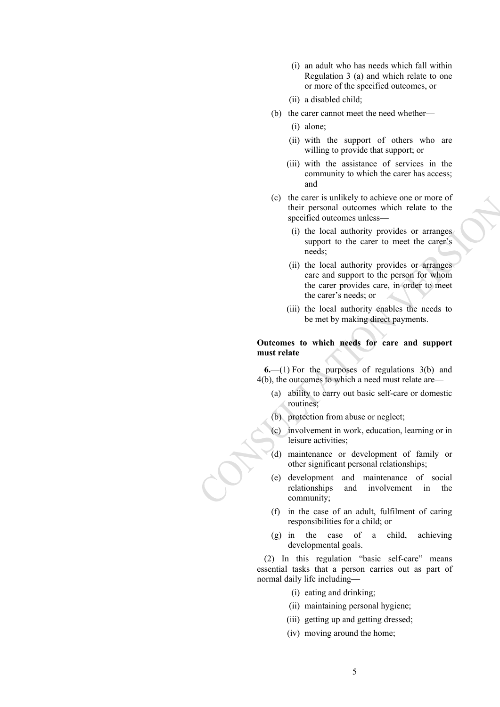- (i) an adult who has needs which fall within Regulation 3 (a) and which relate to one or more of the specified outcomes, or
- (ii) a disabled child;
- (b) the carer cannot meet the need whether—
	- (i) alone;
	- (ii) with the support of others who are willing to provide that support; or
	- (iii) with the assistance of services in the community to which the carer has access; and
- (c) the carer is unlikely to achieve one or more of their personal outcomes which relate to the specified outcomes unless—
	- (i) the local authority provides or arranges support to the carer to meet the carer's needs;
	- (ii) the local authority provides or arranges care and support to the person for whom the carer provides care, in order to meet the carer's needs; or
	- (iii) the local authority enables the needs to be met by making direct payments.

### **Outcomes to which needs for care and support must relate**

**6.**—(1) For the purposes of regulations 3(b) and 4(b), the outcomes to which a need must relate are—

- (a) ability to carry out basic self-care or domestic routines;
- (b) protection from abuse or neglect;
- (c) involvement in work, education, learning or in leisure activities;
- (d) maintenance or development of family or other significant personal relationships;
- (e) development and maintenance of social relationships and involvement in the community;
- (f) in the case of an adult, fulfilment of caring responsibilities for a child; or
- (g) in the case of a child, achieving developmental goals.

(2) In this regulation "basic self-care" means essential tasks that a person carries out as part of normal daily life including—

- (i) eating and drinking;
- (ii) maintaining personal hygiene;
- (iii) getting up and getting dressed;
- (iv) moving around the home;